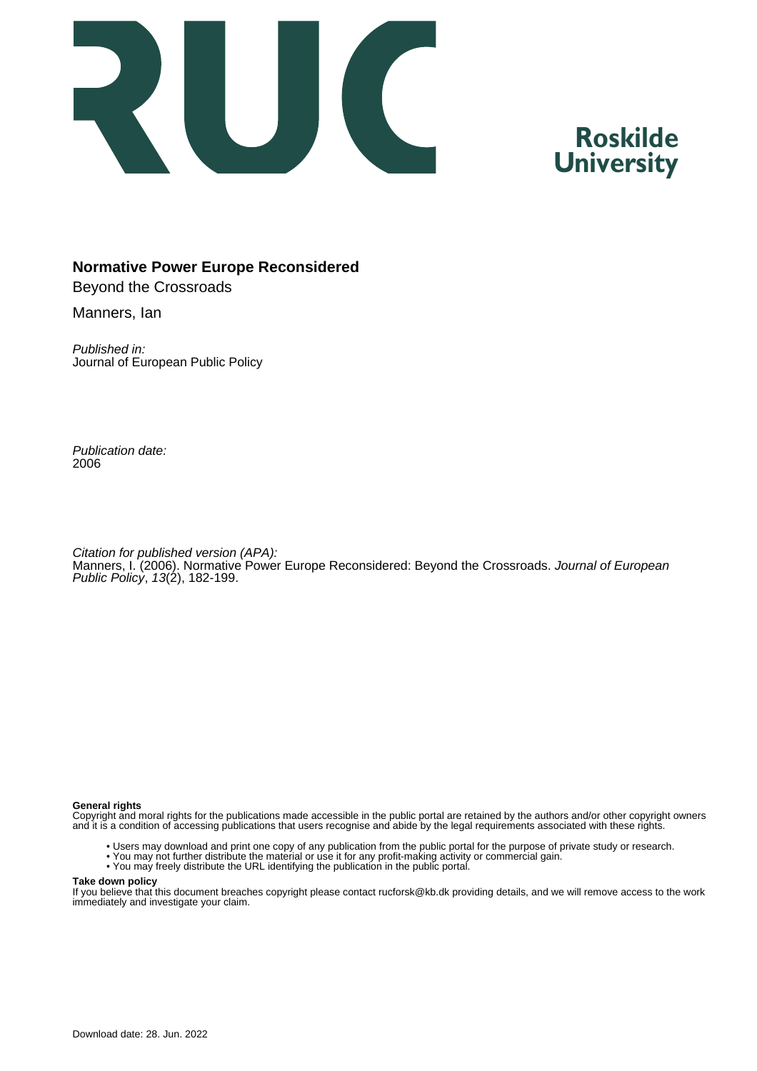

# **Roskilde University**

# **Normative Power Europe Reconsidered**

Beyond the Crossroads

Manners, Ian

Published in: Journal of European Public Policy

Publication date: 2006

Citation for published version (APA): Manners, I. (2006). Normative Power Europe Reconsidered: Beyond the Crossroads. Journal of European Public Policy, 13(2), 182-199.

#### **General rights**

Copyright and moral rights for the publications made accessible in the public portal are retained by the authors and/or other copyright owners and it is a condition of accessing publications that users recognise and abide by the legal requirements associated with these rights.

- Users may download and print one copy of any publication from the public portal for the purpose of private study or research.
- You may not further distribute the material or use it for any profit-making activity or commercial gain.
- You may freely distribute the URL identifying the publication in the public portal.

#### **Take down policy**

If you believe that this document breaches copyright please contact rucforsk@kb.dk providing details, and we will remove access to the work immediately and investigate your claim.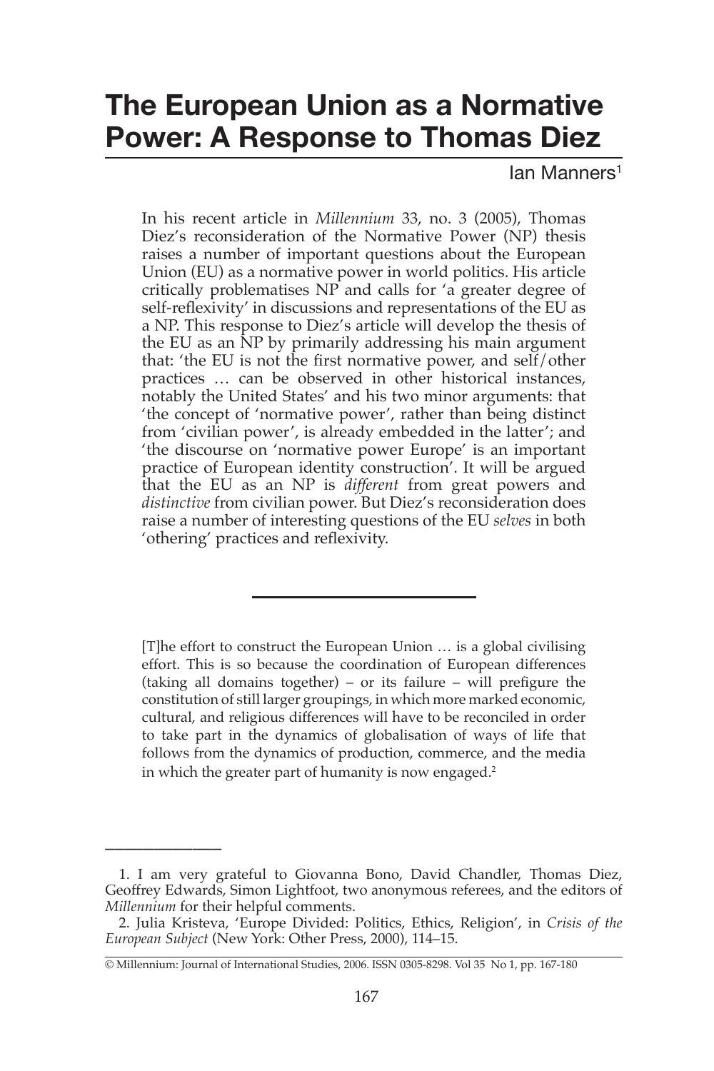# The European Union as a Normative **Power: A Response to Thomas Diez**

lan Manners<sup>1</sup>

In his recent article in *Millennium* 33, no. 3 (2005), Thomas Diez's reconsideration of the Normative Power (NP) thesis raises a number of important questions about the European Union (EU) as a normative power in world politics. His article critically problematises NP and calls for 'a greater degree of self-reflexivity' in discussions and representations of the EU as a NP. This response to Diez's article will develop the thesis of the EU as an NP by primarily addressing his main argument that: 'the EU is not the first normative power, and self/other practices ... can be observed in other historical instances, notably the United States' and his two minor arguments: that 'the concept of 'normative power', rather than being distinct from 'civilian power', is already embedded in the latter'; and 'the discourse on 'normative power Europe' is an important practice of European identity construction'. It will be argued that the EU as an NP is different from great powers and distinctive from civilian power. But Diez's reconsideration does raise a number of interesting questions of the EU selves in both 'othering' practices and reflexivity.

[T]he effort to construct the European Union ... is a global civilising effort. This is so because the coordination of European differences (taking all domains together) – or its failure – will prefigure the constitution of still larger groupings, in which more marked economic, cultural, and religious differences will have to be reconciled in order to take part in the dynamics of globalisation of ways of life that follows from the dynamics of production, commerce, and the media in which the greater part of humanity is now engaged.<sup>2</sup>

<sup>1.</sup> I am very grateful to Giovanna Bono, David Chandler, Thomas Diez, Geoffrey Edwards, Simon Lightfoot, two anonymous referees, and the editors of Millennium for their helpful comments.

<sup>2.</sup> Julia Kristeva, 'Europe Divided: Politics, Ethics, Religion', in Crisis of the European Subject (New York: Other Press, 2000), 114-15.

<sup>@</sup> Millennium: Journal of International Studies, 2006. ISSN 0305-8298. Vol 35 No 1, pp. 167-180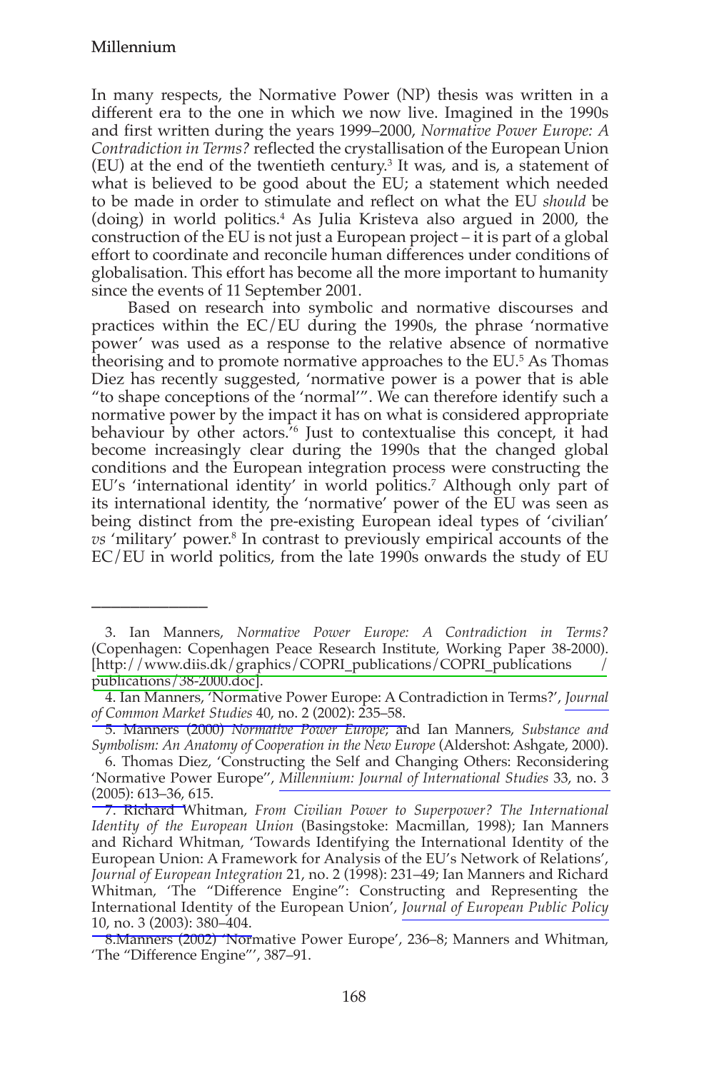In many respects, the Normative Power (NP) thesis was written in a different era to the one in which we now live. Imagined in the 1990s and first written during the years 1999–2000, Normative Power Europe: A Contradiction in Terms? reflected the crystallisation of the European Union (EU) at the end of the twentieth century.<sup>3</sup> It was, and is, a statement of what is believed to be good about the EU; a statement which needed to be made in order to stimulate and reflect on what the EU should be (doing) in world politics.<sup>4</sup> As Julia Kristeva also argued in 2000, the construction of the EU is not just a European project  $-i$  is part of a global effort to coordinate and reconcile human differences under conditions of globalisation. This effort has become all the more important to humanity since the events of 11 September 2001.

Based on research into symbolic and normative discourses and practices within the  $EC/EU$  during the 1990s, the phrase 'normative power' was used as a response to the relative absence of normative theorising and to promote normative approaches to the EU.<sup>5</sup> As Thomas Diez has recently suggested, 'normative power is a power that is able "to shape conceptions of the 'normal'". We can therefore identify such a normative power by the impact it has on what is considered appropriate behaviour by other actors.<sup>76</sup> Just to contextualise this concept, it had become increasingly clear during the 1990s that the changed global conditions and the European integration process were constructing the EU's 'international identity' in world politics.<sup>7</sup> Although only part of its international identity, the 'normative' power of the EU was seen as being distinct from the pre-existing European ideal types of 'civilian' vs 'military' power.<sup>8</sup> In contrast to previously empirical accounts of the EC/EU in world politics, from the late 1990s onwards the study of EU

<sup>3.</sup> Ian Manners, Normative Power Europe: A Contradiction in Terms? (Copenhagen: Copenhagen Peace Research Institute, Working Paper 38-2000). [http://www.diis.dk/graphics/COPRI\_publications/COPRI\_publications publications/38-2000.doc].

<sup>4.</sup> Ian Manners, 'Normative Power Europe: A Contradiction in Terms?', Journal of Common Market Studies 40, no. 2 (2002): 235–58.

<sup>5.</sup> Manners (2000) Normative Power Europe; and Ian Manners, Substance and Symbolism: An Anatomy of Cooperation in the New Europe (Aldershot: Ashgate, 2000).

<sup>6.</sup> Thomas Diez, 'Constructing the Self and Changing Others: Reconsidering 'Normative Power Europe", Millennium: Journal of International Studies 33, no. 3  $(2005): 613-36, 615.$ 

<sup>7.</sup> Richard Whitman, From Civilian Power to Superpower? The International Identity of the European Union (Basingstoke: Macmillan, 1998); Ian Manners and Richard Whitman, 'Towards Identifying the International Identity of the European Union: A Framework for Analysis of the EU's Network of Relations', Journal of European Integration 21, no. 2 (1998): 231–49; Ian Manners and Richard Whitman, 'The "Difference Engine": Constructing and Representing the International Identity of the European Union', Journal of European Public Policy 10, no. 3 (2003): 380-404.

<sup>8.</sup> Manners (2002) 'Normative Power Europe', 236-8; Manners and Whitman, 'The "Difference Engine"', 387-91.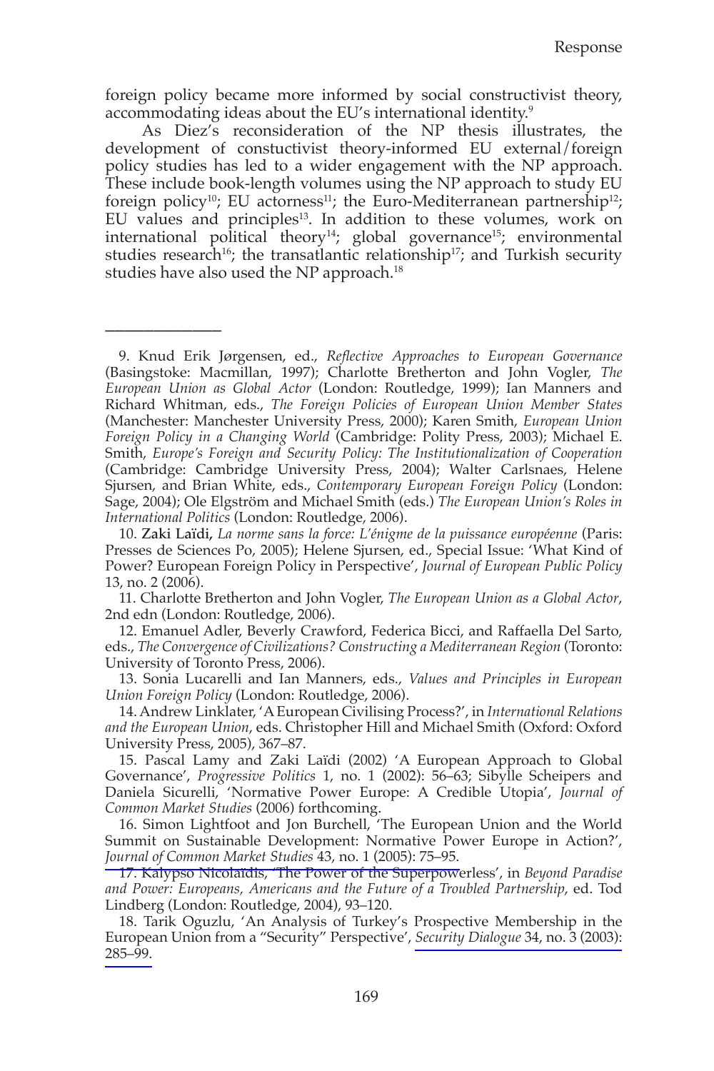foreign policy became more informed by social constructivist theory, accommodating ideas about the EU's international identity.<sup>9</sup>

As Diez's reconsideration of the NP thesis illustrates, the development of constuctivist theory-informed EU external/foreign policy studies has led to a wider engagement with the NP approach. These include book-length volumes using the NP approach to study EU foreign policy<sup>10</sup>; EU actorness<sup>11</sup>; the Euro-Mediterranean partnership<sup>12</sup>; EU values and principles<sup>13</sup>. In addition to these volumes, work on international political theory<sup>14</sup>; global governance<sup>15</sup>; environmental studies research<sup>16</sup>; the transatlantic relationship<sup>17</sup>; and Turkish security studies have also used the NP approach.<sup>18</sup>

<sup>9.</sup> Knud Erik Jørgensen, ed., Reflective Approaches to European Governance (Basingstoke: Macmillan, 1997); Charlotte Bretherton and John Vogler, The European Union as Global Actor (London: Routledge, 1999); Ian Manners and Richard Whitman, eds., The Foreign Policies of European Union Member States (Manchester: Manchester University Press, 2000); Karen Smith, European Union Foreign Policy in a Changing World (Cambridge: Polity Press, 2003); Michael E. Smith, Europe's Foreign and Security Policy: The Institutionalization of Cooperation (Cambridge: Cambridge University Press, 2004); Walter Carlsnaes, Helene Sjursen, and Brian White, eds., Contemporary European Foreign Policy (London: Sage, 2004); Ole Elgström and Michael Smith (eds.) The European Union's Roles in International Politics (London: Routledge, 2006).

<sup>10.</sup> Zaki Laïdi, La norme sans la force: L'énigme de la puissance européenne (Paris: Presses de Sciences Po, 2005); Helene Sjursen, ed., Special Issue: 'What Kind of Power? European Foreign Policy in Perspective', Journal of European Public Policy 13, no. 2 (2006).

<sup>11.</sup> Charlotte Bretherton and John Vogler, The European Union as a Global Actor, 2nd edn (London: Routledge, 2006).

<sup>12.</sup> Emanuel Adler, Beverly Crawford, Federica Bicci, and Raffaella Del Sarto, eds., The Convergence of Civilizations? Constructing a Mediterranean Region (Toronto: University of Toronto Press, 2006).

<sup>13.</sup> Sonia Lucarelli and Ian Manners, eds., Values and Principles in European Union Foreign Policy (London: Routledge, 2006).

<sup>14.</sup> Andrew Linklater, 'A European Civilising Process?', in International Relations and the European Union, eds. Christopher Hill and Michael Smith (Oxford: Oxford University Press, 2005), 367-87.

<sup>15.</sup> Pascal Lamy and Zaki Laïdi (2002) 'A European Approach to Global Governance', Progressive Politics 1, no. 1 (2002): 56-63; Sibylle Scheipers and Daniela Sicurelli, 'Normative Power Europe: A Credible Utopia', Journal of Common Market Studies (2006) forthcoming.

<sup>16.</sup> Simon Lightfoot and Jon Burchell, 'The European Union and the World Summit on Sustainable Development: Normative Power Europe in Action?', Journal of Common Market Studies 43, no. 1 (2005): 75-95.

<sup>17.</sup> Kalypso Nicolaïdis, 'The Power of the Superpowerless', in Beyond Paradise and Power: Europeans, Americans and the Future of a Troubled Partnership, ed. Tod Lindberg (London: Routledge, 2004), 93-120.

<sup>18.</sup> Tarik Oguzlu, 'An Analysis of Turkey's Prospective Membership in the European Union from a "Security" Perspective', Security Dialogue 34, no. 3 (2003): 285-99.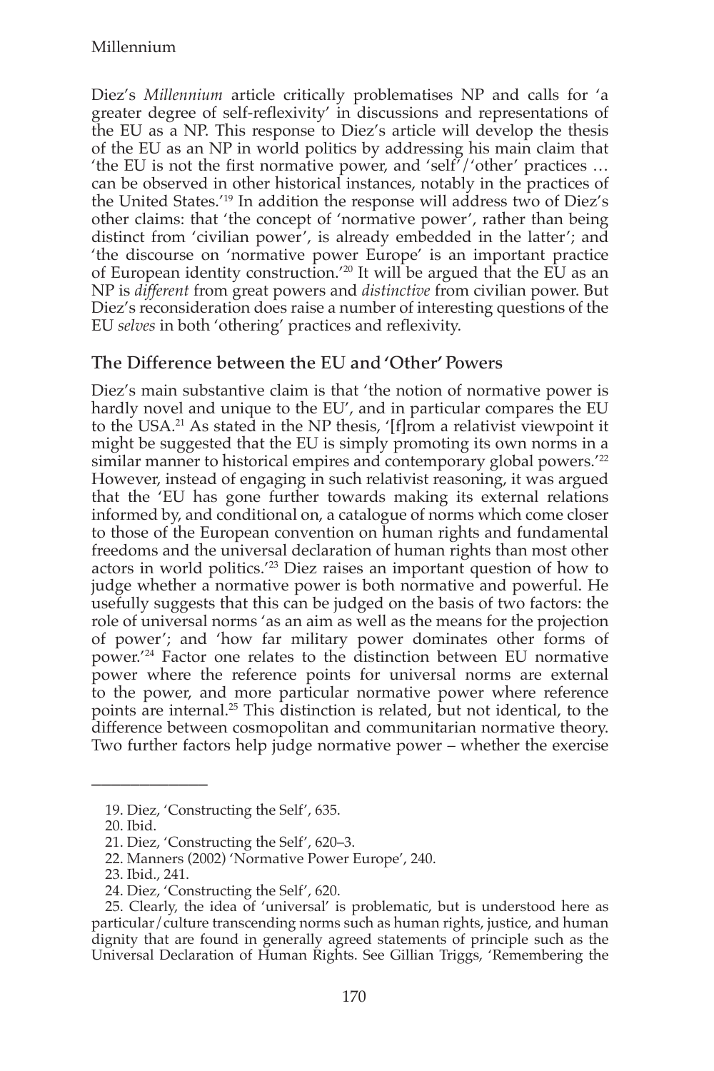Diez's Millennium article critically problematises NP and calls for 'a greater degree of self-reflexivity' in discussions and representations of the EU as a NP. This response to Diez's article will develop the thesis of the EU as an NP in world politics by addressing his main claim that 'the EU is not the first normative power, and 'self'/'other' practices ... can be observed in other historical instances, notably in the practices of the United States.'<sup>19</sup> In addition the response will address two of Diez's other claims: that 'the concept of 'normative power', rather than being distinct from 'civilian power', is already embedded in the latter'; and 'the discourse on 'normative power Europe' is an important practice of European identity construction.<sup>'20</sup> It will be argued that the EU as an NP is different from great powers and distinctive from civilian power. But Diez's reconsideration does raise a number of interesting questions of the EU selves in both 'othering' practices and reflexivity.

# The Difference between the EU and 'Other' Powers

Diez's main substantive claim is that 'the notion of normative power is hardly novel and unique to the EU', and in particular compares the EU to the USA.<sup>21</sup> As stated in the NP thesis, '[f]rom a relativist viewpoint it might be suggested that the EU is simply promoting its own norms in a similar manner to historical empires and contemporary global powers.<sup>72</sup> However, instead of engaging in such relativist reasoning, it was argued that the 'EU has gone further towards making its external relations informed by, and conditional on, a catalogue of norms which come closer to those of the European convention on human rights and fundamental freedoms and the universal declaration of human rights than most other actors in world politics.<sup>'23</sup> Diez raises an important question of how to judge whether a normative power is both normative and powerful. He usefully suggests that this can be judged on the basis of two factors: the role of universal norms 'as an aim as well as the means for the projection of power'; and 'how far military power dominates other forms of power.'<sup>24</sup> Factor one relates to the distinction between EU normative power where the reference points for universal norms are external to the power, and more particular normative power where reference points are internal.<sup>25</sup> This distinction is related, but not identical, to the difference between cosmopolitan and communitarian normative theory. Two further factors help judge normative power  $-$  whether the exercise

<sup>19.</sup> Diez, 'Constructing the Self', 635.

<sup>20.</sup> Ibid.

<sup>21.</sup> Diez, 'Constructing the Self', 620-3.

<sup>22.</sup> Manners (2002) 'Normative Power Europe', 240.

<sup>23.</sup> Ibid., 241.

<sup>24.</sup> Diez, 'Constructing the Self', 620.

<sup>25.</sup> Clearly, the idea of 'universal' is problematic, but is understood here as particular/culture transcending norms such as human rights, justice, and human dignity that are found in generally agreed statements of principle such as the Universal Declaration of Human Rights. See Gillian Triggs, 'Remembering the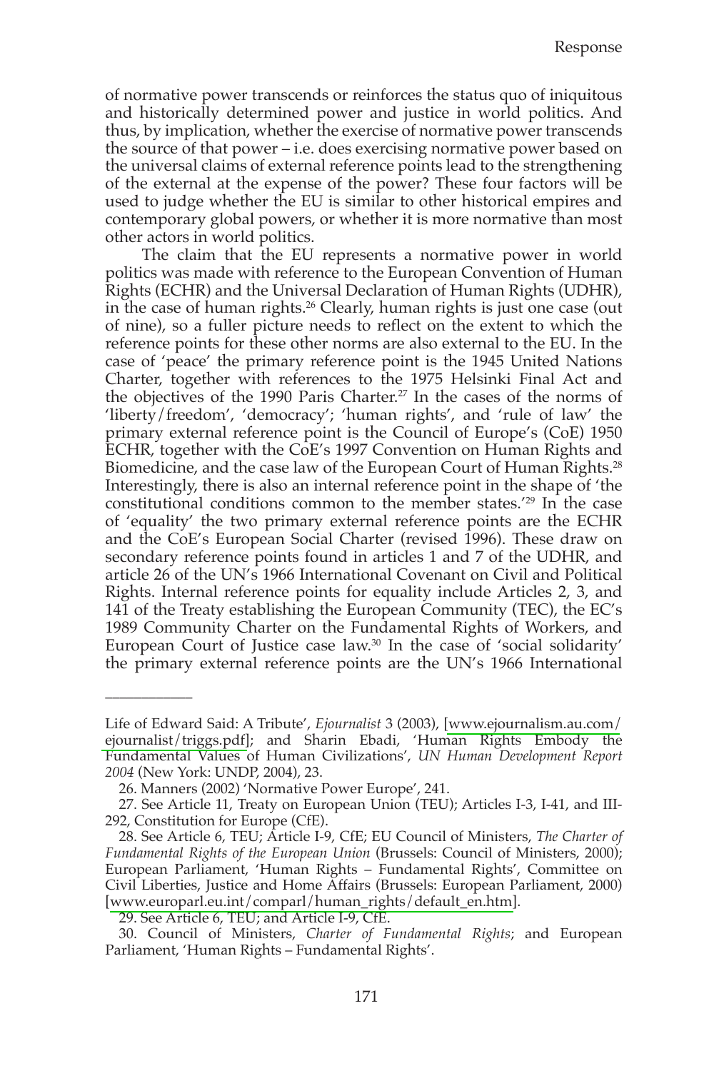of normative power transcends or reinforces the status quo of iniquitous and historically determined power and justice in world politics. And thus, by implication, whether the exercise of normative power transcends the source of that power – i.e. does exercising normative power based on the universal claims of external reference points lead to the strengthening of the external at the expense of the power? These four factors will be used to judge whether the EU is similar to other historical empires and contemporary global powers, or whether it is more normative than most other actors in world politics.

The claim that the EU represents a normative power in world politics was made with reference to the European Convention of Human Rights (ECHR) and the Universal Declaration of Human Rights (UDHR), in the case of human rights.<sup>26</sup> Clearly, human rights is just one case (out of nine), so a fuller picture needs to reflect on the extent to which the reference points for these other norms are also external to the EU. In the case of 'peace' the primary reference point is the 1945 United Nations Charter, together with references to the 1975 Helsinki Final Act and the objectives of the 1990 Paris Charter.<sup>27</sup> In the cases of the norms of 'liberty/freedom', 'democracy'; 'human rights', and 'rule of law' the primary external reference point is the Council of Europe's (CoE) 1950 ECHR, together with the CoE's 1997 Convention on Human Rights and Biomedicine, and the case law of the European Court of Human Rights.<sup>28</sup> Interestingly, there is also an internal reference point in the shape of 'the constitutional conditions common to the member states.<sup>'29</sup> In the case of 'equality' the two primary external reference points are the ECHR and the CoE's European Social Charter (revised 1996). These draw on secondary reference points found in articles 1 and 7 of the UDHR, and article 26 of the UN's 1966 International Covenant on Civil and Political Rights. Internal reference points for equality include Articles 2, 3, and 141 of the Treaty establishing the European Community (TEC), the EC's 1989 Community Charter on the Fundamental Rights of Workers, and European Court of Justice case law.<sup>30</sup> In the case of 'social solidarity' the primary external reference points are the UN's 1966 International

29. See Article 6, TEU; and Article I-9, CfE.

Life of Edward Said: A Tribute', Ejournalist 3 (2003), [www.ejournalism.au.com/ ejournalist/triggs.pdf]; and Sharin Ebadi, 'Human Rights Embody the Fundamental Values of Human Civilizations', UN Human Development Report 2004 (New York: UNDP, 2004), 23.

<sup>26.</sup> Manners (2002) 'Normative Power Europe', 241.

<sup>27.</sup> See Article 11, Treaty on European Union (TEU); Articles I-3, I-41, and III-292, Constitution for Europe (CfE).

<sup>28.</sup> See Article 6, TEU; Article I-9, CfE; EU Council of Ministers, The Charter of Fundamental Rights of the European Union (Brussels: Council of Ministers, 2000); European Parliament, 'Human Rights - Fundamental Rights', Committee on Civil Liberties, Justice and Home Affairs (Brussels: European Parliament, 2000) [www.europarl.eu.int/comparl/human\_rights/default\_en.htm].

<sup>30.</sup> Council of Ministers, Charter of Fundamental Rights; and European Parliament, 'Human Rights - Fundamental Rights'.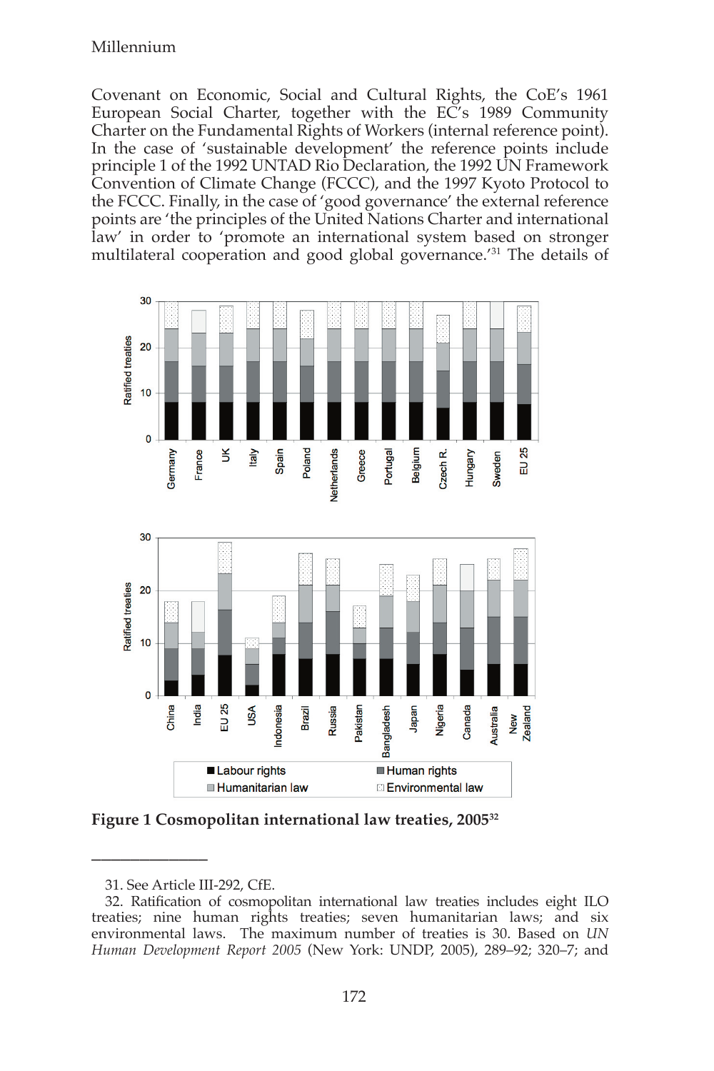Covenant on Economic, Social and Cultural Rights, the CoE's 1961 European Social Charter, together with the EC's 1989 Community Charter on the Fundamental Rights of Workers (internal reference point). In the case of 'sustainable development' the reference points include principle 1 of the 1992 UNTAD Rio Declaration, the 1992 UN Framework Convention of Climate Change (FCCC), and the 1997 Kyoto Protocol to the FCCC. Finally, in the case of 'good governance' the external reference points are 'the principles of the United Nations Charter and international law' in order to 'promote an international system based on stronger multilateral cooperation and good global governance.<sup>731</sup> The details of



Figure 1 Cosmopolitan international law treaties, 2005<sup>32</sup>

<sup>31.</sup> See Article III-292, CfE.

<sup>32.</sup> Ratification of cosmopolitan international law treaties includes eight ILO treaties; nine human rights treaties; seven humanitarian laws; and six environmental laws. The maximum number of treaties is 30. Based on UN Human Development Report 2005 (New York: UNDP, 2005), 289-92; 320-7; and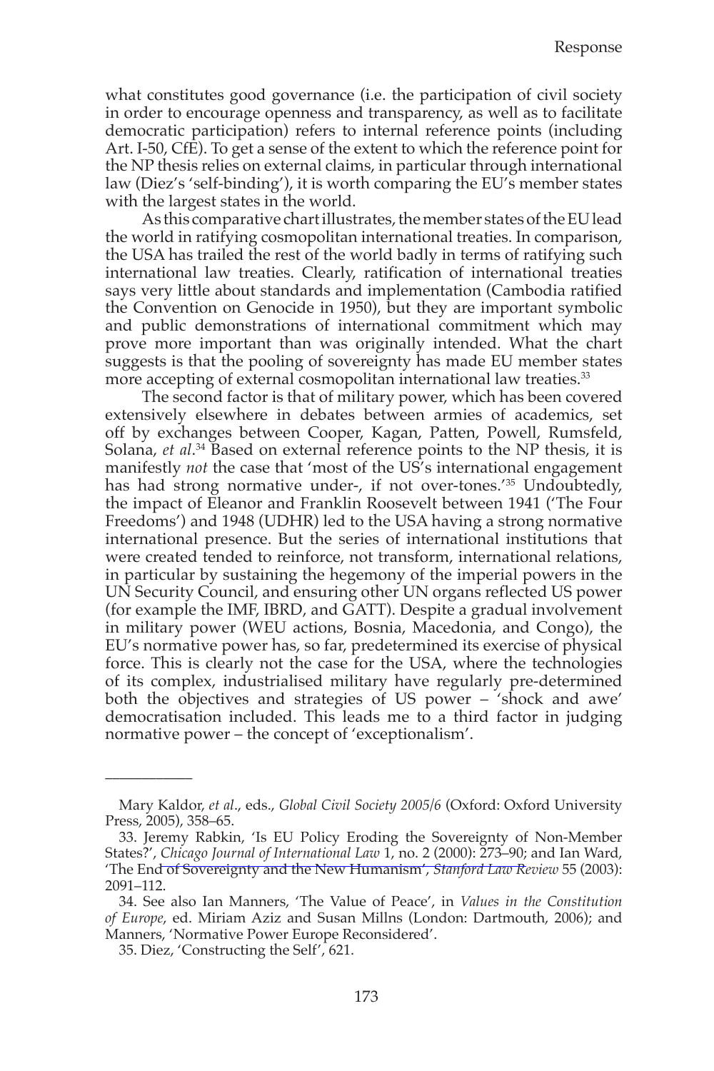what constitutes good governance (i.e. the participation of civil society in order to encourage openness and transparency, as well as to facilitate democratic participation) refers to internal reference points (including Art. I-50, CfÉ). To get a sense of the extent to which the reference point for the NP thesis relies on external claims, in particular through international law (Diez's 'self-binding'), it is worth comparing the EU's member states with the largest states in the world.

As this comparative chart illustrates, the member states of the EU lead the world in ratifying cosmopolitan international treaties. In comparison, the USA has trailed the rest of the world badly in terms of ratifying such international law treaties. Clearly, ratification of international treaties says very little about standards and implementation (Cambodia ratified the Convention on Genocide in 1950), but they are important symbolic and public demonstrations of international commitment which may prove more important than was originally intended. What the chart suggests is that the pooling of sovereignty has made EU member states more accepting of external cosmopolitan international law treaties.<sup>33</sup>

The second factor is that of military power, which has been covered extensively elsewhere in debates between armies of academics, set off by exchanges between Cooper, Kagan, Patten, Powell, Rumsfeld, Solana, et al.<sup>34</sup> Based on external reference points to the NP thesis, it is manifestly *not* the case that 'most of the US's international engagement has had strong normative under-, if not over-tones.<sup>735</sup> Undoubtedly, the impact of Eleanor and Franklin Roosevelt between 1941 ('The Four Freedoms') and 1948 (UDHR) led to the USA having a strong normative international presence. But the series of international institutions that were created tended to reinforce, not transform, international relations, in particular by sustaining the hegemony of the imperial powers in the UN Security Council, and ensuring other UN organs reflected US power (for example the IMF, IBRD, and GATT). Despite a gradual involvement in military power (WEU actions, Bosnia, Macedonia, and Congo), the EU's normative power has, so far, predetermined its exercise of physical force. This is clearly not the case for the USA, where the technologies of its complex, industrialised military have regularly pre-determined both the objectives and strategies of US power - 'shock and awe' democratisation included. This leads me to a third factor in judging normative power - the concept of 'exceptionalism'.

Mary Kaldor, et al., eds., Global Civil Society 2005/6 (Oxford: Oxford University Press, 2005), 358-65.

<sup>33.</sup> Jeremy Rabkin, 'Is EU Policy Eroding the Sovereignty of Non-Member States?', Chicago Journal of International Law 1, no. 2 (2000): 273-90; and Ian Ward, 'The End of Sovereignty and the New Humanism', Stanford Law Review 55 (2003): 2091-112.

<sup>34.</sup> See also Ian Manners, 'The Value of Peace', in Values in the Constitution of Europe, ed. Miriam Aziz and Susan Millns (London: Dartmouth, 2006); and Manners, 'Normative Power Europe Reconsidered'.

<sup>35.</sup> Diez, 'Constructing the Self', 621.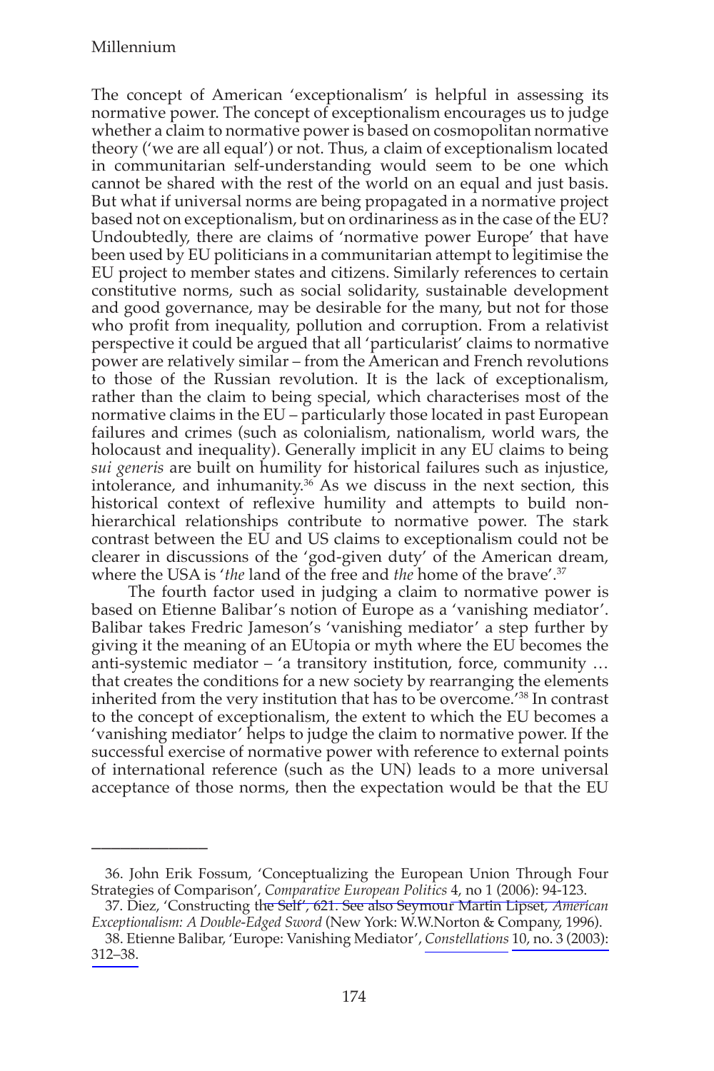The concept of American 'exceptionalism' is helpful in assessing its normative power. The concept of exceptionalism encourages us to judge whether a claim to normative power is based on cosmopolitan normative theory ('we are all equal') or not. Thus, a claim of exceptionalism located in communitarian self-understanding would seem to be one which cannot be shared with the rest of the world on an equal and just basis. But what if universal norms are being propagated in a normative project based not on exceptionalism, but on ordinariness as in the case of the EU? Undoubtedly, there are claims of 'normative power Europe' that have been used by EU politicians in a communitarian attempt to legitimise the EU project to member states and citizens. Similarly references to certain constitutive norms, such as social solidarity, sustainable development and good governance, may be desirable for the many, but not for those who profit from inequality, pollution and corruption. From a relativist perspective it could be argued that all 'particularist' claims to normative power are relatively similar - from the American and French revolutions to those of the Russian revolution. It is the lack of exceptionalism, rather than the claim to being special, which characterises most of the normative claims in the EU – particularly those located in past European failures and crimes (such as colonialism, nationalism, world wars, the holocaust and inequality). Generally implicit in any EU claims to being sui generis are built on humility for historical failures such as injustice, intolerance, and inhumanity.<sup>36</sup> As we discuss in the next section, this historical context of reflexive humility and attempts to build non-<br>hierarchical relationships contribute to normative power. The stark contrast between the EU and US claims to exceptionalism could not be clearer in discussions of the 'god-given duty' of the American dream, where the USA is 'the land of the free and the home of the brave'.<sup>37</sup>

The fourth factor used in judging a claim to normative power is based on Etienne Balibar's notion of Europe as a 'vanishing mediator'. Balibar takes Fredric Jameson's 'vanishing mediator' a step further by giving it the meaning of an EU topia or myth where the EU becomes the anti-systemic mediator - 'a transitory institution, force, community ... that creates the conditions for a new society by rearranging the elements inherited from the very institution that has to be overcome.'38 In contrast to the concept of exceptionalism, the extent to which the EU becomes a 'vanishing mediator' helps to judge the claim to normative power. If the successful exercise of normative power with reference to external points of international reference (such as the UN) leads to a more universal acceptance of those norms, then the expectation would be that the EU

<sup>36.</sup> John Erik Fossum, 'Conceptualizing the European Union Through Four Strategies of Comparison', Comparative European Politics 4, no 1 (2006): 94-123.

<sup>37.</sup> Diez, 'Constructing the Self', 621. See also Seymour Martin Lipset, American Exceptionalism: A Double-Edged Sword (New York: W.W.Norton & Company, 1996).

<sup>38.</sup> Etienne Balibar, 'Europe: Vanishing Mediator', Constellations 10, no. 3 (2003):  $312 - 38.$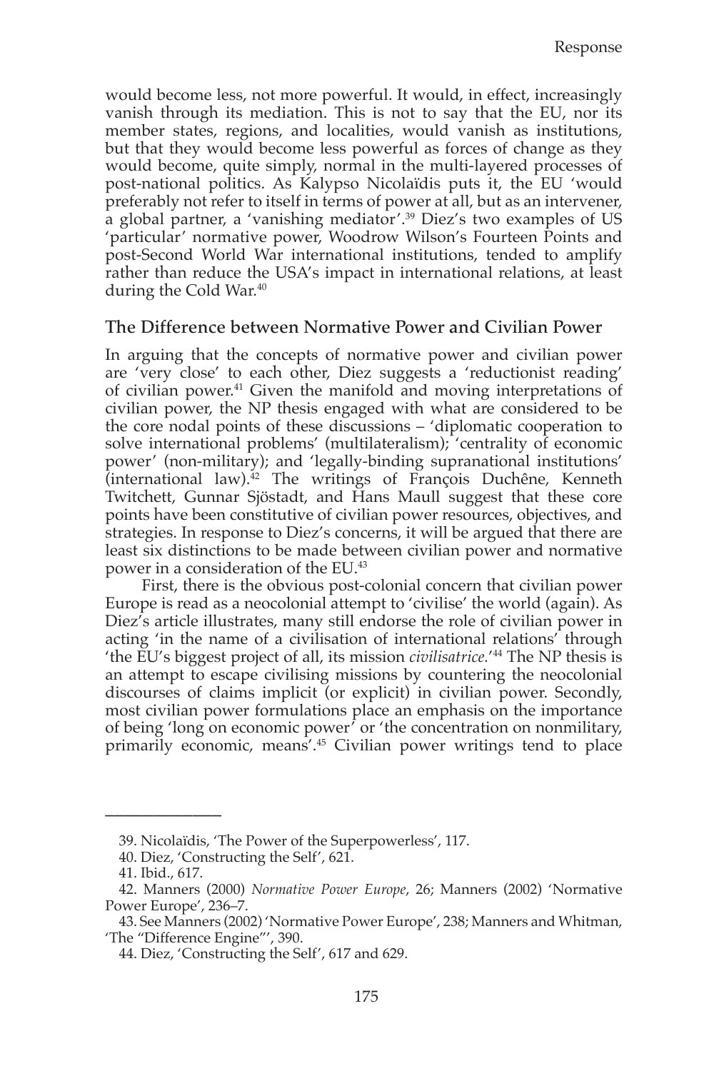would become less, not more powerful. It would, in effect, increasingly vanish through its mediation. This is not to say that the EU, nor its member states, regions, and localities, would vanish as institutions, but that they would become less powerful as forces of change as they would become, quite simply, normal in the multi-layered processes of post-national politics. As Kalypso Nicolaïdis puts it, the EU 'would preferably not refer to itself in terms of power at all, but as an intervener, a global partner, a 'vanishing mediator'.<sup>39</sup> Diez's two examples of US 'particular' normative power, Woodrow Wilson's Fourteen Points and post-Second World War international institutions, tended to amplify rather than reduce the USA's impact in international relations, at least during the Cold War.<sup>40</sup>

## The Difference between Normative Power and Civilian Power

In arguing that the concepts of normative power and civilian power are 'very close' to each other, Diez suggests a 'reductionist reading' of civilian power.<sup>41</sup> Given the manifold and moving interpretations of civilian power, the NP thesis engaged with what are considered to be the core nodal points of these discussions – 'diplomatic cooperation to solve international problems' (multilateralism); 'centrality of economic power' (non-military); and 'legally-binding supranational institutions' (international law).<sup>42</sup> The writings of François Duchêne, Kenneth Twitchett, Gunnar Sjöstadt, and Hans Maull suggest that these core points have been constitutive of civilian power resources, objectives, and strategies. In response to Diez's concerns, it will be argued that there are least six distinctions to be made between civilian power and normative power in a consideration of the EU.<sup>43</sup>

First, there is the obvious post-colonial concern that civilian power Europe is read as a neocolonial attempt to 'civilise' the world (again). As Diez's article illustrates, many still endorse the role of civilian power in acting 'in the name of a civilisation of international relations' through 'the EU's biggest project of all, its mission *civilisatrice*.'<sup>44</sup> The NP thesis is an attempt to escape civilising missions by countering the neocolonial discourses of claims implicit (or explicit) in civilian power. Secondly, most civilian power formulations place an emphasis on the importance of being 'long on economic power' or 'the concentration on nonmilitary, primarily economic, means'.<sup>45</sup> Civilian power writings tend to place

<sup>39.</sup> Nicolaïdis, 'The Power of the Superpowerless', 117.

<sup>40.</sup> Diez, 'Constructing the Self', 621.

<sup>41.</sup> Ibid., 617.

<sup>42.</sup> Manners (2000) Normative Power Europe, 26; Manners (2002) 'Normative Power Europe', 236-7.

<sup>43.</sup> See Manners (2002) 'Normative Power Europe', 238; Manners and Whitman, 'The "Difference Engine"', 390.

<sup>44.</sup> Diez, 'Constructing the Self', 617 and 629.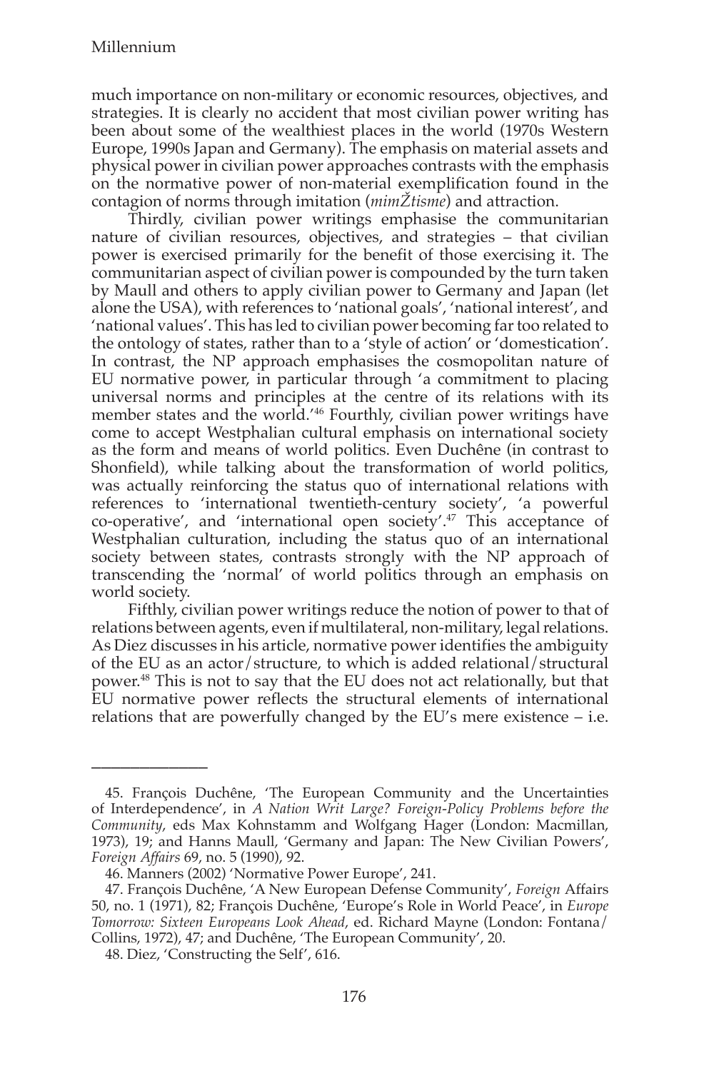much importance on non-military or economic resources, objectives, and strategies. It is clearly no accident that most civilian power writing has been about some of the wealthiest places in the world (1970s Western Europe, 1990s Japan and Germany). The emphasis on material assets and physical power in civilian power approaches contrasts with the emphasis on the normative power of non-material exemplification found in the contagion of norms through imitation (*mim*Žtisme) and attraction.

Thirdly, civilian power writings emphasise the communitarian nature of civilian resources, objectives, and strategies - that civilian power is exercised primarily for the benefit of those exercising it. The communitarian aspect of civilian power is compounded by the turn taken by Maull and others to apply civilian power to Germany and Japan (let alone the USA), with references to 'national goals', 'national interest', and 'national values'. This has led to civilian power becoming far too related to the ontology of states, rather than to a 'style of action' or 'domestication'. In contrast, the NP approach emphasises the cosmopolitan nature of EU normative power, in particular through 'a commitment to placing universal norms and principles at the centre of its relations with its member states and the world.<sup>146</sup> Fourthly, civilian power writings have come to accept Westphalian cultural emphasis on international society as the form and means of world politics. Even Duchêne (in contrast to Shonfield), while talking about the transformation of world politics, was actually reinforcing the status quo of international relations with references to 'international twentieth-century society', 'a powerful co-operative', and 'international open society'.<sup>47</sup> This acceptance of Westphalian culturation, including the status quo of an international society between states, contrasts strongly with the NP approach of transcending the 'normal' of world politics through an emphasis on world society.

Fifthly, civilian power writings reduce the notion of power to that of relations between agents, even if multilateral, non-military, legal relations. As Diez discusses in his article, normative power identifies the ambiguity of the EU as an actor/structure, to which is added relational/structural power.<sup>48</sup> This is not to say that the EU does not act relationally, but that EU normative power reflects the structural elements of international relations that are powerfully changed by the EU's mere existence - i.e.

<sup>45.</sup> François Duchêne, 'The European Community and the Uncertainties of Interdependence', in A Nation Writ Large? Foreign-Policy Problems before the Community, eds Max Kohnstamm and Wolfgang Hager (London: Macmillan, 1973), 19; and Hanns Maull, 'Germany and Japan: The New Civilian Powers', Foreign Affairs 69, no. 5 (1990), 92.

<sup>46.</sup> Manners (2002) 'Normative Power Europe', 241.

<sup>47.</sup> François Duchêne, 'A New European Defense Community', Foreign Affairs 50, no. 1 (1971), 82; François Duchêne, 'Europe's Role in World Peace', in Europe Tomorrow: Sixteen Europeans Look Ahead, ed. Richard Mayne (London: Fontana/ Collins, 1972), 47; and Duchêne, 'The European Community', 20.

<sup>48.</sup> Diez, 'Constructing the Self', 616.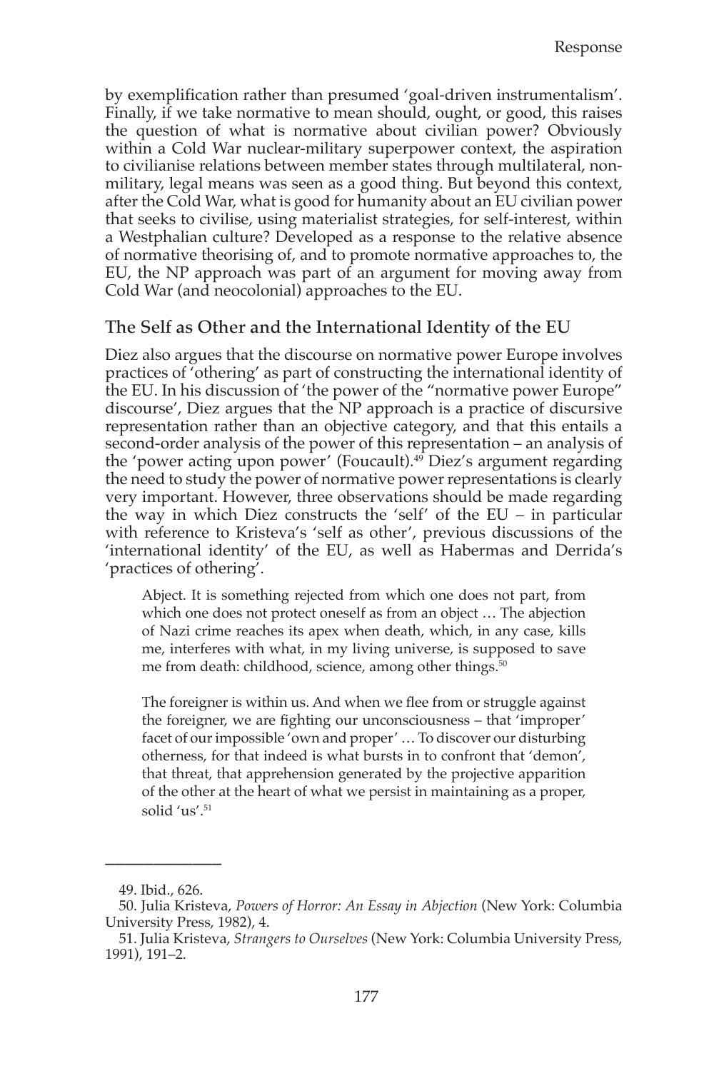by exemplification rather than presumed 'goal-driven instrumentalism'. Finally, if we take normative to mean should, ought, or good, this raises the question of what is normative about civilian power? Obviously within a Cold War nuclear-military superpower context, the aspiration to civilianise relations between member states through multilateral, nonmilitary, legal means was seen as a good thing. But beyond this context, after the Cold War, what is good for humanity about an EU civilian power that seeks to civilise, using materialist strategies, for self-interest, within a Westphalian culture? Developed as a response to the relative absence of normative theorising of, and to promote normative approaches to, the EU, the NP approach was part of an argument for moving away from Cold War (and neocolonial) approaches to the EU.

# The Self as Other and the International Identity of the EU

Diez also argues that the discourse on normative power Europe involves practices of 'othering' as part of constructing the international identity of the EU. In his discussion of 'the power of the "normative power Europe" discourse', Diez argues that the NP approach is a practice of discursive representation rather than an objective category, and that this entails a second-order analysis of the power of this representation - an analysis of the 'power acting upon power' (Foucault).<sup>49</sup> Diez's argument regarding the need to study the power of normative power representations is clearly very important. However, three observations should be made regarding the way in which Diez constructs the 'self' of the EU – in particular with reference to Kristeva's 'self as other', previous discussions of the 'international identity' of the EU, as well as Habermas and Derrida's 'practices of othering'.

Abject. It is something rejected from which one does not part, from which one does not protect oneself as from an object ... The abjection of Nazi crime reaches its apex when death, which, in any case, kills me, interferes with what, in my living universe, is supposed to save me from death: childhood, science, among other things.<sup>50</sup>

The foreigner is within us. And when we flee from or struggle against the foreigner, we are fighting our unconsciousness - that 'improper' facet of our impossible 'own and proper' ... To discover our disturbing otherness, for that indeed is what bursts in to confront that 'demon', that threat, that apprehension generated by the projective apparition of the other at the heart of what we persist in maintaining as a proper, solid 'us'.<sup>51</sup>

<sup>49.</sup> Ibid., 626.

<sup>50.</sup> Julia Kristeva, Powers of Horror: An Essay in Abjection (New York: Columbia University Press, 1982), 4.

<sup>51.</sup> Julia Kristeva, Strangers to Ourselves (New York: Columbia University Press, 1991), 191–2.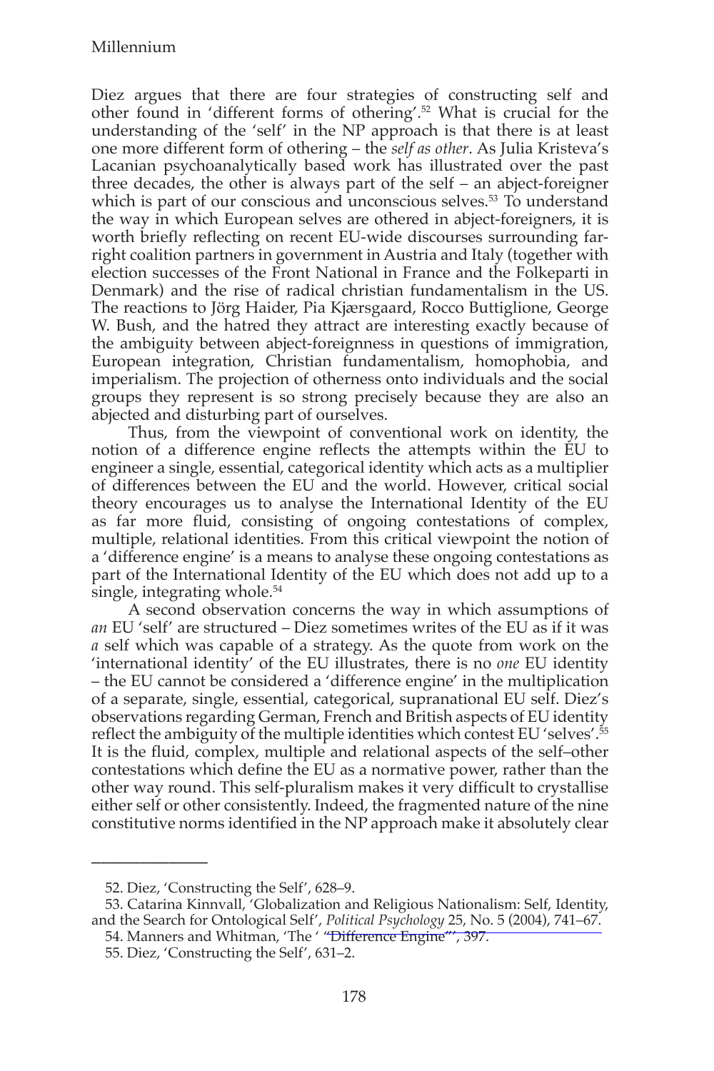Diez argues that there are four strategies of constructing self and other found in 'different forms of othering'.<sup>52</sup> What is crucial for the understanding of the 'self' in the NP approach is that there is at least one more different form of othering - the self as other. As Julia Kristeva's Lacanian psychoanalytically based work has illustrated over the past three decades, the other is always part of the self - an abject-foreigner which is part of our conscious and unconscious selves.<sup>53</sup> To understand the way in which European selves are othered in abject-foreigners, it is worth briefly reflecting on recent EU-wide discourses surrounding farright coalition partners in government in Austria and Italy (together with election successes of the Front National in France and the Folkeparti in Denmark) and the rise of radical christian fundamentalism in the US. The reactions to Jörg Haider, Pia Kjærsgaard, Rocco Buttiglione, George W. Bush, and the hatred they attract are interesting exactly because of the ambiguity between abject-foreignness in questions of immigration, European integration, Christian fundamentalism, homophobia, and imperialism. The projection of otherness onto individuals and the social groups they represent is so strong precisely because they are also an abjected and disturbing part of ourselves.

Thus, from the viewpoint of conventional work on identity, the notion of a difference engine reflects the attempts within the EU to engineer a single, essential, categorical identity which acts as a multiplier of differences between the EU and the world. However, critical social theory encourages us to analyse the International Identity of the EU as far more fluid, consisting of ongoing contestations of complex, multiple, relational identities. From this critical viewpoint the notion of a 'difference engine' is a means to analyse these ongoing contestations as part of the International Identity of the EU which does not add up to a single, integrating whole.<sup>54</sup>

A second observation concerns the way in which assumptions of an EU 'self' are structured - Diez sometimes writes of the EU as if it was a self which was capable of a strategy. As the quote from work on the 'international identity' of the EU illustrates, there is no one EU identity - the EU cannot be considered a 'difference engine' in the multiplication of a separate, single, essential, categorical, supranational EU self. Diez's observations regarding German, French and British aspects of EU identity reflect the ambiguity of the multiple identities which contest EU 'selves'.<sup>55</sup> It is the fluid, complex, multiple and relational aspects of the self-other contestations which define the EU as a normative power, rather than the other way round. This self-pluralism makes it very difficult to crystallise either self or other consistently. Indeed, the fragmented nature of the nine constitutive norms identified in the NP approach make it absolutely clear

<sup>52.</sup> Diez, 'Constructing the Self', 628-9.

<sup>53.</sup> Catarina Kinnvall, 'Globalization and Religious Nationalism: Self, Identity, and the Search for Ontological Self', Political Psychology 25, No. 5 (2004), 741-67.

<sup>54.</sup> Manners and Whitman, 'The ' "Difference Engine"', 397.

<sup>55.</sup> Diez, 'Constructing the Self', 631-2.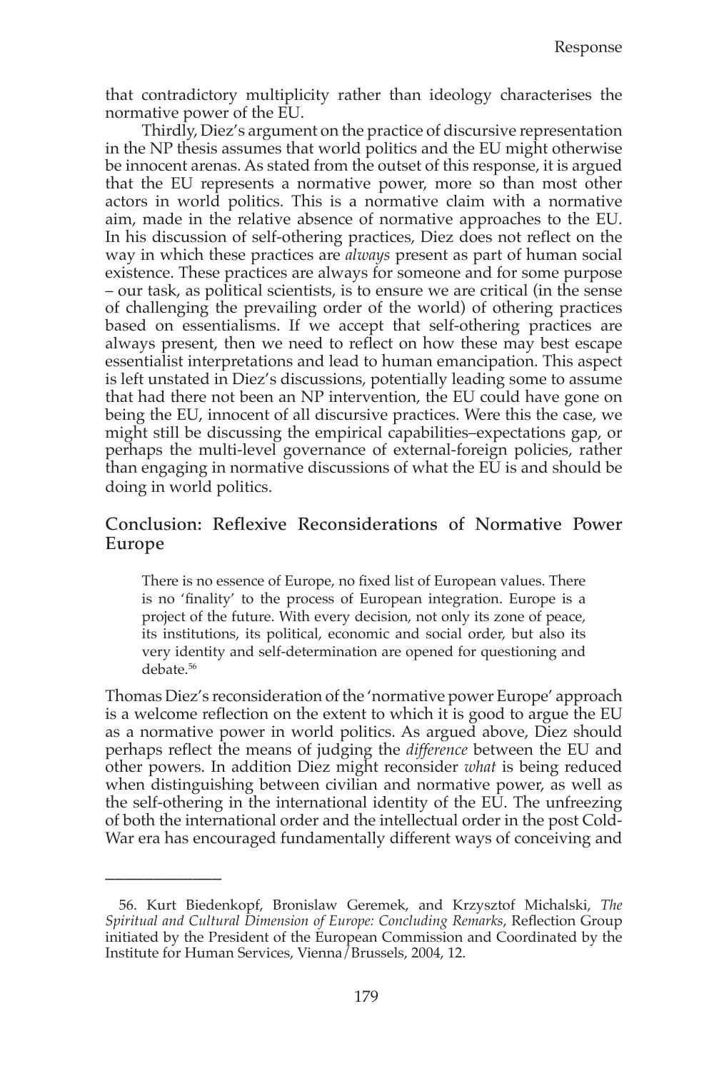that contradictory multiplicity rather than ideology characterises the normative power of the EU.

Thirdly, Diez's argument on the practice of discursive representation in the NP thesis assumes that world politics and the EU might otherwise be innocent arenas. As stated from the outset of this response, it is argued that the EU represents a normative power, more so than most other actors in world politics. This is a normative claim with a normative aim, made in the relative absence of normative approaches to the EU. In his discussion of self-othering practices, Diez does not reflect on the way in which these practices are *always* present as part of human social existence. These practices are always for someone and for some purpose - our task, as political scientists, is to ensure we are critical (in the sense of challenging the prevailing order of the world) of othering practices based on essentialisms. If we accept that self-othering practices are always present, then we need to reflect on how these may best escape essentialist interpretations and lead to human emancipation. This aspect is left unstated in Diez's discussions, potentially leading some to assume that had there not been an NP intervention, the EU could have gone on being the EU, innocent of all discursive practices. Were this the case, we might still be discussing the empirical capabilities-expectations gap, or perhaps the multi-level governance of external-foreign policies, rather than engaging in normative discussions of what the EU is and should be doing in world politics.

## Conclusion: Reflexive Reconsiderations of Normative Power Europe

There is no essence of Europe, no fixed list of European values. There is no 'finality' to the process of European integration. Europe is a project of the future. With every decision, not only its zone of peace, its institutions, its political, economic and social order, but also its very identity and self-determination are opened for questioning and  $deh$ ate  $56$ 

Thomas Diez's reconsideration of the 'normative power Europe' approach is a welcome reflection on the extent to which it is good to argue the EU as a normative power in world politics. As argued above, Diez should perhaps reflect the means of judging the difference between the EU and other powers. In addition Diez might reconsider what is being reduced when distinguishing between civilian and normative power, as well as the self-othering in the international identity of the EU. The unfreezing of both the international order and the intellectual order in the post Cold-War era has encouraged fundamentally different ways of conceiving and

<sup>56.</sup> Kurt Biedenkopf, Bronislaw Geremek, and Krzysztof Michalski, The Spiritual and Cultural Dimension of Europe: Concluding Remarks, Reflection Group initiated by the President of the European Commission and Coordinated by the Institute for Human Services, Vienna / Brussels, 2004, 12.